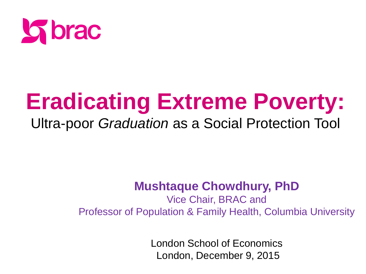

## **Eradicating Extreme Poverty:**

#### Ultra-poor *Graduation* as a Social Protection Tool

#### **Mushtaque Chowdhury, PhD**

Vice Chair, BRAC and Professor of Population & Family Health, Columbia University

> where  $\mathcal{L}$ London School of Economics London, December 9, 2015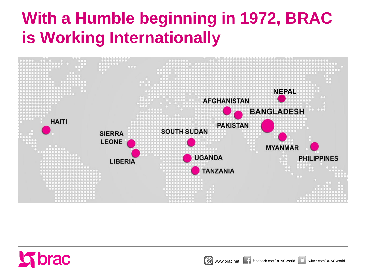#### **With a Humble beginning in 1972, BRAC is Working Internationally**





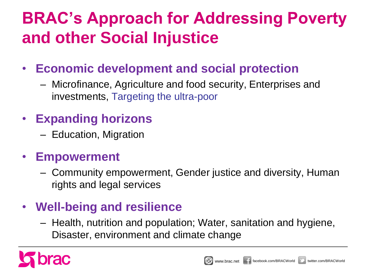### **BRAC's Approach for Addressing Poverty and other Social Injustice**

- **Economic development and social protection**
	- Microfinance, Agriculture and food security, Enterprises and investments, Targeting the ultra-poor

#### • **Expanding horizons**

– Education, Migration

#### • **Empowerment**

– Community empowerment, Gender justice and diversity, Human rights and legal services

#### • **Well-being and resilience**

– Health, nutrition and population; Water, sanitation and hygiene, Disaster, environment and climate change

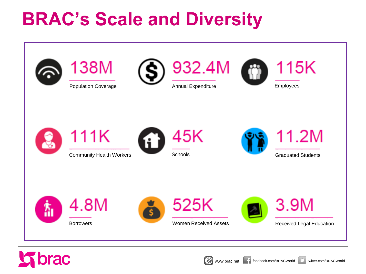### **BRAC's Scale and Diversity**





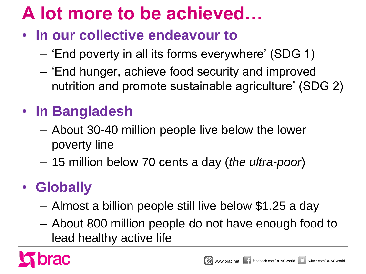### **A lot more to be achieved…**

- **In our collective endeavour to** 
	- 'End poverty in all its forms everywhere' (SDG 1)
	- 'End hunger, achieve food security and improved nutrition and promote sustainable agriculture' (SDG 2)

#### • **In Bangladesh**

- About 30-40 million people live below the lower poverty line
- 15 million below 70 cents a day (*the ultra-poor*)

#### • **Globally**

- Almost a billion people still live below \$1.25 a day
- About 800 million people do not have enough food to lead healthy active life



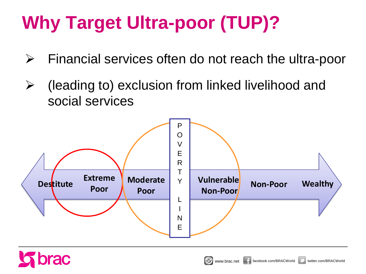### **Why Target Ultra-poor (TUP)?**

- $\triangleright$  Financial services often do not reach the ultra-poor
- $\triangleright$  (leading to) exclusion from linked livelihood and social services



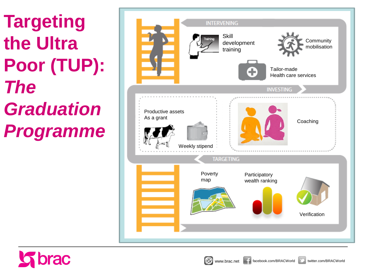**Targeting the Ultra Poor (TUP):**  *The Graduation Programme*



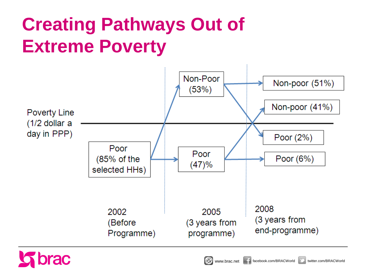### **Creating Pathways Out of Extreme Poverty**



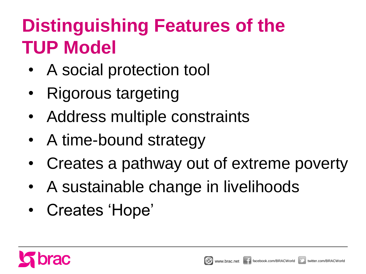### **Distinguishing Features of the TUP Model**

- A social protection tool
- Rigorous targeting
- Address multiple constraints
- A time-bound strategy
- Creates a pathway out of extreme poverty
- A sustainable change in livelihoods
- Creates 'Hope'

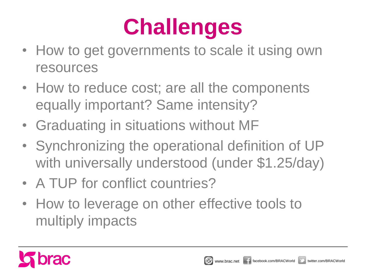## **Challenges**

- How to get governments to scale it using own resources
- How to reduce cost; are all the components equally important? Same intensity?
- Graduating in situations without MF
- Synchronizing the operational definition of UP with universally understood (under \$1.25/day)
- A TUP for conflict countries?
- How to leverage on other effective tools to multiply impacts